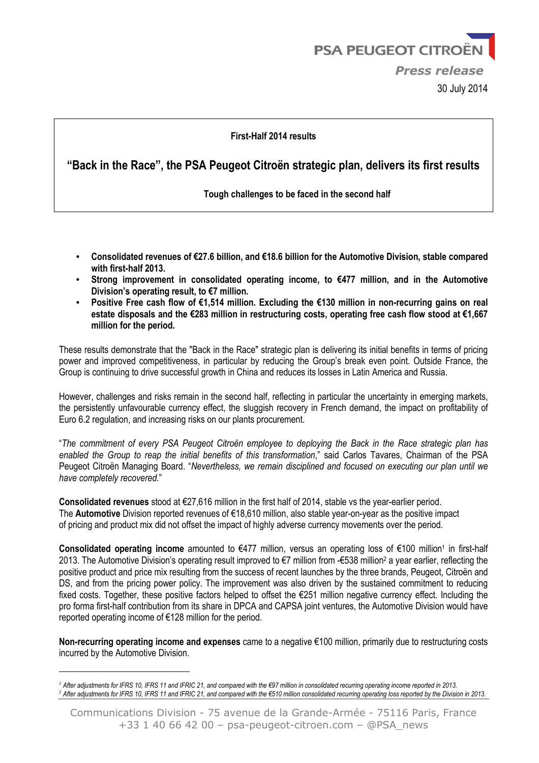#### **First-Half 2014 results**

### **"Back in the Race", the PSA Peugeot Citroën strategic plan, delivers its first results**

 **Tough challenges to be faced in the second half** 

- **Consolidated revenues of €27.6 billion, and €18.6 billion for the Automotive Division, stable compared with first-half 2013.**
- **Strong improvement in consolidated operating income, to €477 million, and in the Automotive Division's operating result, to €7 million.**
- **Positive Free cash flow of €1,514 million. Excluding the €130 million in non-recurring gains on real estate disposals and the €283 million in restructuring costs, operating free cash flow stood at €1,667 million for the period.**

These results demonstrate that the "Back in the Race" strategic plan is delivering its initial benefits in terms of pricing power and improved competitiveness, in particular by reducing the Group's break even point. Outside France, the Group is continuing to drive successful growth in China and reduces its losses in Latin America and Russia.

However, challenges and risks remain in the second half, reflecting in particular the uncertainty in emerging markets, the persistently unfavourable currency effect, the sluggish recovery in French demand, the impact on profitability of Euro 6.2 regulation, and increasing risks on our plants procurement.

"*The commitment of every PSA Peugeot Citroën employee to deploying the Back in the Race strategic plan has enabled the Group to reap the initial benefits of this transformation*," said Carlos Tavares, Chairman of the PSA Peugeot Citroën Managing Board. "*Nevertheless, we remain disciplined and focused on executing our plan until we have completely recovered*."

**Consolidated revenues** stood at €27,616 million in the first half of 2014, stable vs the year-earlier period. The **Automotive** Division reported revenues of €18,610 million, also stable year-on-year as the positive impact of pricing and product mix did not offset the impact of highly adverse currency movements over the period.

Consolidated operating income amounted to €477 million, versus an operating loss of €100 million<sup>1</sup> in first-half 2013. The Automotive Division's operating result improved to €7 million from -€538 million<sup>2</sup> a year earlier, reflecting the positive product and price mix resulting from the success of recent launches by the three brands, Peugeot, Citroën and DS, and from the pricing power policy. The improvement was also driven by the sustained commitment to reducing fixed costs. Together, these positive factors helped to offset the €251 million negative currency effect. Including the pro forma first-half contribution from its share in DPCA and CAPSA joint ventures, the Automotive Division would have reported operating income of €128 million for the period.

**Non-recurring operating income and expenses** came to a negative €100 million, primarily due to restructuring costs incurred by the Automotive Division.

 $\overline{a}$ 

*<sup>1</sup> After adjustments for IFRS 10, IFRS 11 and IFRIC 21, and compared with the €97 million in consolidated recurring operating income reported in 2013.*  2 *After adjustments for IFRS 10, IFRS 11 and IFRIC 21, and compared with the €510 million consolidated recurring operating loss reported by the Division in 2013.*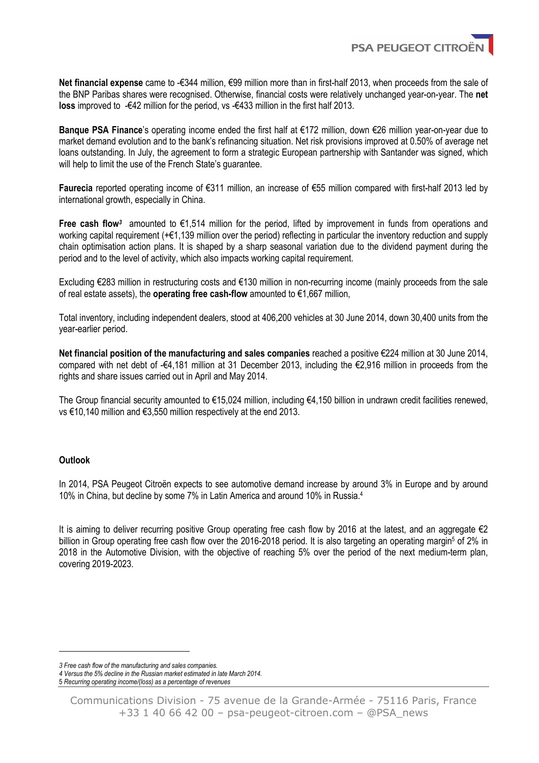

**Net financial expense** came to -€344 million, €99 million more than in first-half 2013, when proceeds from the sale of the BNP Paribas shares were recognised. Otherwise, financial costs were relatively unchanged year-on-year. The **net loss** improved to -€42 million for the period, vs -€433 million in the first half 2013.

**Banque PSA Finance**'s operating income ended the first half at €172 million, down €26 million year-on-year due to market demand evolution and to the bank's refinancing situation. Net risk provisions improved at 0.50% of average net loans outstanding. In July, the agreement to form a strategic European partnership with Santander was signed, which will help to limit the use of the French State's guarantee.

**Faurecia** reported operating income of €311 million, an increase of €55 million compared with first-half 2013 led by international growth, especially in China.

**Free cash flow***<sup>3</sup>* amounted to €1,514 million for the period, lifted by improvement in funds from operations and working capital requirement (+€1,139 million over the period) reflecting in particular the inventory reduction and supply chain optimisation action plans. It is shaped by a sharp seasonal variation due to the dividend payment during the period and to the level of activity, which also impacts working capital requirement.

Excluding €283 million in restructuring costs and €130 million in non-recurring income (mainly proceeds from the sale of real estate assets), the **operating free cash-flow** amounted to €1,667 million,

Total inventory, including independent dealers, stood at 406,200 vehicles at 30 June 2014, down 30,400 units from the year-earlier period.

**Net financial position of the manufacturing and sales companies** reached a positive €224 million at 30 June 2014, compared with net debt of -€4,181 million at 31 December 2013, including the €2,916 million in proceeds from the rights and share issues carried out in April and May 2014.

The Group financial security amounted to  $\epsilon$ 15,024 million, including  $\epsilon$ 4,150 billion in undrawn credit facilities renewed, vs €10,140 million and €3,550 million respectively at the end 2013.

#### **Outlook**

l

In 2014, PSA Peugeot Citroën expects to see automotive demand increase by around 3% in Europe and by around 10% in China, but decline by some 7% in Latin America and around 10% in Russia.<sup>4</sup>

It is aiming to deliver recurring positive Group operating free cash flow by 2016 at the latest, and an aggregate €2 billion in Group operating free cash flow over the 2016-2018 period. It is also targeting an operating margin<sup>5</sup> of 2% in 2018 in the Automotive Division, with the objective of reaching 5% over the period of the next medium-term plan, covering 2019-2023.

*<sup>3</sup> Free cash flow of the manufacturing and sales companies.* 

*<sup>4</sup> Versus the 5% decline in the Russian market estimated in late March 2014.* 

<sup>5</sup> *Recurring operating income/(loss) as a percentage of revenues*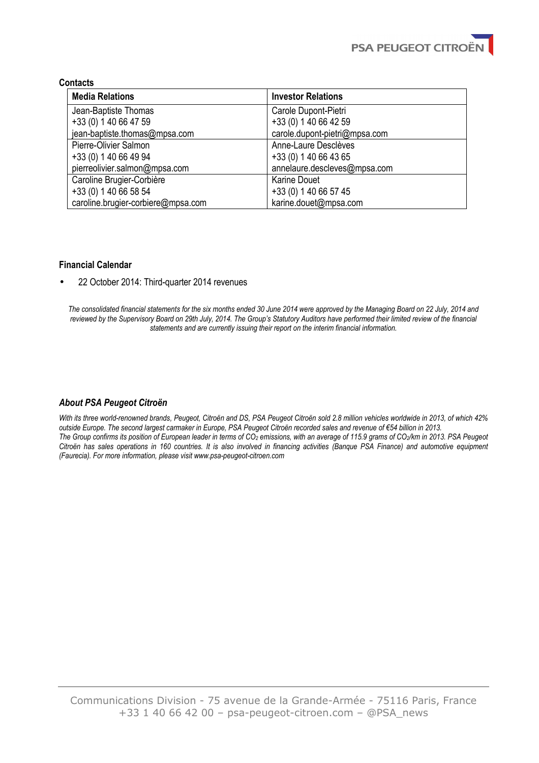#### **Contacts**

| <b>Media Relations</b>             | <b>Investor Relations</b>     |
|------------------------------------|-------------------------------|
| Jean-Baptiste Thomas               | Carole Dupont-Pietri          |
| +33 (0) 1 40 66 47 59              | +33 (0) 1 40 66 42 59         |
| jean-baptiste.thomas@mpsa.com      | carole.dupont-pietri@mpsa.com |
| Pierre-Olivier Salmon              | Anne-Laure Desclèves          |
| +33 (0) 1 40 66 49 94              | +33 (0) 1 40 66 43 65         |
| pierreolivier.salmon@mpsa.com      | annelaure.descleves@mpsa.com  |
| Caroline Brugier-Corbière          | <b>Karine Douet</b>           |
| +33 (0) 1 40 66 58 54              | +33 (0) 1 40 66 57 45         |
| caroline.brugier-corbiere@mpsa.com | karine.douet@mpsa.com         |

#### **Financial Calendar**

• 22 October 2014: Third-quarter 2014 revenues

*The consolidated financial statements for the six months ended 30 June 2014 were approved by the Managing Board on 22 July, 2014 and reviewed by the Supervisory Board on 29th July, 2014. The Group's Statutory Auditors have performed their limited review of the financial statements and are currently issuing their report on the interim financial information.*

#### *About PSA Peugeot Citroën*

*With its three world-renowned brands, Peugeot, Citroën and DS, PSA Peugeot Citroën sold 2.8 million vehicles worldwide in 2013, of which 42% outside Europe. The second largest carmaker in Europe, PSA Peugeot Citroën recorded sales and revenue of €54 billion in 2013. The Group confirms its position of European leader in terms of CO2 emissions, with an average of 115.9 grams of CO2/km in 2013. PSA Peugeot Citroën has sales operations in 160 countries. It is also involved in financing activities (Banque PSA Finance) and automotive equipment (Faurecia). For more information, please visit www.psa-peugeot-citroen.com*